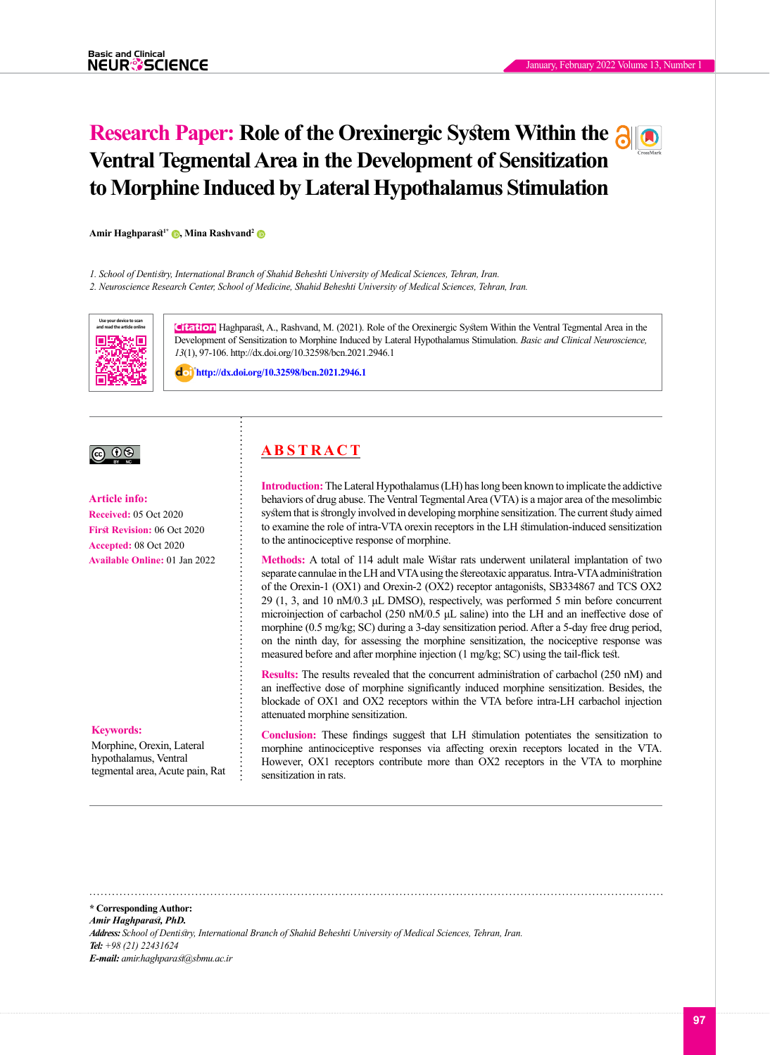# **Research Paper: Role of the Orexinergic System Within the Ventral Tegmental Area in the Development of Sensitization to Morphine Induced by Lateral Hypothalamus Stimulation**

**Amir Haghparast1\* [,](http://orcid.org/0000-0001-5713-8260) Mina Rashvand[2](http://orcid.org/0000-0003-1316-973X)**

*1. School of Dentistry, International Branch of Shahid Beheshti University of Medical Sciences, Tehran, Iran.*

*2. Neuroscience Research Center, School of Medicine, Shahid Beheshti University of Medical Sciences, Tehran, Iran.*



**Citation** Haghparast, A., Rashvand, M. (2021). Role of the Orexinergic System Within the Ventral Tegmental Area in the Development of Sensitization to Morphine Induced by Lateral Hypothalamus Stimulation. *Basic and Clinical Neuroscience, 13*(1), 97-106. http://dx.doi.org/10.32598/bcn.2021.2946.1

: **<http://dx.doi.org/10.32598/bcn.2021.2946.1>**

## <u>බ ග</u>

**Article info: Received:** 05 Oct 2020 **First Revision:** 06 Oct 2020 **Accepted:** 08 Oct 2020 **Available Online:** 01 Jan 2022

#### **Keywords:**

Morphine, Orexin, Lateral hypothalamus, Ventral tegmental area, Acute pain, Rat

## **A B S T R A C T**

**Introduction:**The Lateral Hypothalamus (LH) has long been known to implicate the addictive behaviors of drug abuse. The Ventral Tegmental Area (VTA) is a major area of the mesolimbic system that is strongly involved in developing morphine sensitization. The current study aimed to examine the role of intra-VTA orexin receptors in the LH stimulation-induced sensitization to the antinociceptive response of morphine.

**Methods:** A total of 114 adult male Wistar rats underwent unilateral implantation of two separate cannulae in the LH and VTA using the [stereotaxic apparatus.](https://www.google.com/search?client=firefox-b-d&q=stereotaxi+apparatus&nfpr=1&sa=X&ved=2ahUKEwiP8-3h3ZDsAhWCzoUKHS5bD3UQvgUoAXoECA8QJQ) Intra-VTA administration of the Orexin-1 (OX1) and Orexin-2 (OX2) receptor antagonists, SB334867 and TCS OX2 29 (1, 3, and 10 nM/0.3 μL DMSO), respectively, was performed 5 min before concurrent microinjection of carbachol (250 nM/0.5 μL saline) into the LH and an ineffective dose of morphine (0.5 mg/kg; SC) during a 3-day sensitization period. After a 5-day free drug period, on the ninth day, for assessing the morphine sensitization, the nociceptive response was measured before and after morphine injection (1 mg/kg; SC) using the tail-flick test.

**Results:** The results revealed that the concurrent administration of carbachol (250 nM) and an ineffective dose of morphine significantly induced morphine sensitization. Besides, the blockade of OX1 and OX2 receptors within the VTA before intra-LH carbachol injection attenuated morphine sensitization.

**Conclusion:** These findings suggest that LH stimulation potentiates the sensitization to morphine antinociceptive responses via affecting orexin receptors located in the VTA. However, OX1 receptors contribute more than OX2 receptors in the VTA to morphine sensitization in rats.

**\* Corresponding Author:** *Amir Haghparast, PhD. Address: School of Dentistry, International Branch of Shahid Beheshti University of Medical Sciences, Tehran, Iran. Tel: +98 (21) 22431624 E-mail: amir.haghparast@sbmu.ac.ir*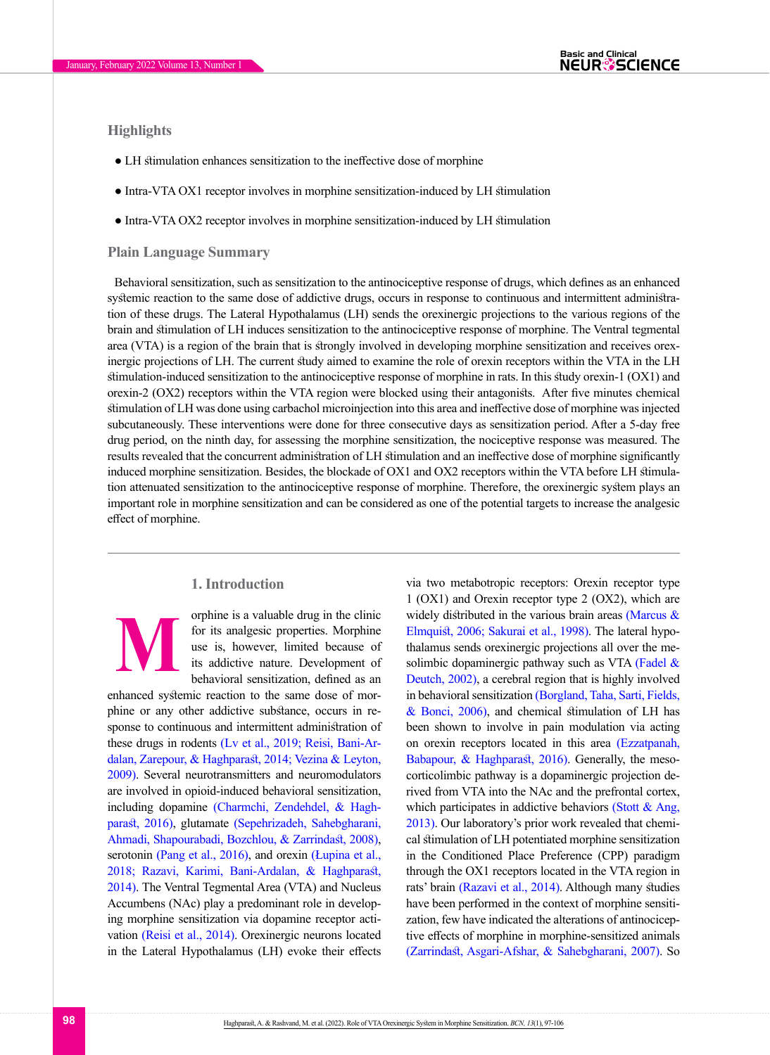## **Highlights**

- LH stimulation enhances sensitization to the ineffective dose of morphine
- Intra-VTA OX1 receptor involves in morphine sensitization-induced by LH stimulation
- Intra-VTA OX2 receptor involves in morphine sensitization-induced by LH stimulation

#### **Plain Language Summary**

Behavioral sensitization, such as sensitization to the antinociceptive response of drugs, which defines as an enhanced systemic reaction to the same dose of addictive drugs, occurs in response to continuous and intermittent administration of these drugs. The Lateral Hypothalamus (LH) sends the orexinergic projections to the various regions of the brain and stimulation of LH induces sensitization to the antinociceptive response of morphine. The Ventral tegmental area (VTA) is a region of the brain that is strongly involved in developing morphine sensitization and receives orexinergic projections of LH. The current study aimed to examine the role of orexin receptors within the VTA in the LH stimulation-induced sensitization to the antinociceptive response of morphine in rats. In this study orexin-1 (OX1) and orexin-2 (OX2) receptors within the VTA region were blocked using their antagonists. After five minutes chemical stimulation of LH was done using carbachol microinjection into this area and ineffective dose of morphine was injected subcutaneously. These interventions were done for three consecutive days as sensitization period. After a 5-day free drug period, on the ninth day, for assessing the morphine sensitization, the nociceptive response was measured. The results revealed that the concurrent administration of LH stimulation and an ineffective dose of morphine significantly induced morphine sensitization. Besides, the blockade of OX1 and OX2 receptors within the VTA before LH stimulation attenuated sensitization to the antinociceptive response of morphine. Therefore, the orexinergic system plays an important role in morphine sensitization and can be considered as one of the potential targets to increase the analgesic effect of morphine.

#### **1. Introduction**

**M**

orphine is a valuable drug in the clinic for its analgesic properties. Morphine use is, however, limited because of its addictive nature. Development of behavioral sensitization, defined as an

enhanced systemic reaction to the same dose of morphine or any other addictive substance, occurs in response to continuous and intermittent administration of these drugs in rodents [\(Lv et al., 2019;](#page-9-0) Reisi, Bani-Ardalan, Zarepour, & Haghpara[st, 2014;](#page-9-1) [Vezina & Leyton,](#page-9-2)  [2009\).](#page-9-2) Several neurotransmitters and neuromodulators are involved in opioid-induced behavioral sensitization, including dopamine [\(Charmchi, Zendehdel, & Hagh](#page-8-0)[parast, 2016\),](#page-8-0) glutamate [\(Sepehrizadeh, Sahebgharani,](#page-9-3)  [Ahmadi, Shapourabadi, Bozchlou, & Zarrindast, 2008\)](#page-9-3), serotonin [\(Pang et al., 2016\),](#page-9-4) and orexin (Łupina et al., [2018;](#page-9-5) Razavi, Karimi, Bani-Ardalan, & Haghpara[st,](#page-9-6)  [2014\)](#page-9-6). The Ventral Tegmental Area (VTA) and Nucleus Accumbens (NAc) play a predominant role in developing morphine sensitization via dopamine receptor activation [\(Reisi et al., 2014\)](#page-9-1). Orexinergic neurons located in the Lateral Hypothalamus (LH) evoke their effects via two metabotropic receptors: Orexin receptor type 1 (OX1) and Orexin receptor type 2 (OX2), which are widely distributed in the various brain areas [\(Marcus &](#page-9-7)  [Elmquist, 2006;](#page-9-7) [Sakurai et al., 1998\)](#page-9-8). The lateral hypothalamus sends orexinergic projections all over the mesolimbic dopaminergic pathway such as VTA [\(Fadel &](#page-8-1)  [Deutch, 2002\)](#page-8-1), a cerebral region that is highly involved in behavioral sensitization [\(Borgland, Taha, Sarti, Fields,](#page-8-2)  [& Bonci, 2006\),](#page-8-2) and chemical stimulation of LH has been shown to involve in pain modulation via acting on orexin receptors located in this area [\(Ezzatpanah,](#page-8-3)  [Babapour, & Haghparast, 2016\)](#page-8-3). Generally, the mesocorticolimbic pathway is a dopaminergic projection derived from VTA into the NAc and the prefrontal cortex, which participates in addictive behaviors (Stott  $\&$  Ang, [2013\)](#page-9-9). Our laboratory's prior work revealed that chemical stimulation of LH potentiated morphine sensitization in the Conditioned Place Preference (CPP) paradigm through the OX1 receptors located in the VTA region in rats' brain [\(Razavi et al., 2014\)](#page-9-6). Although many studies have been performed in the context of morphine sensitization, few have indicated the alterations of antinociceptive effects of morphine in morphine-sensitized animals [\(Zarrindast, Asgari-Afshar, & Sahebgharani, 2007\)](#page-9-10). So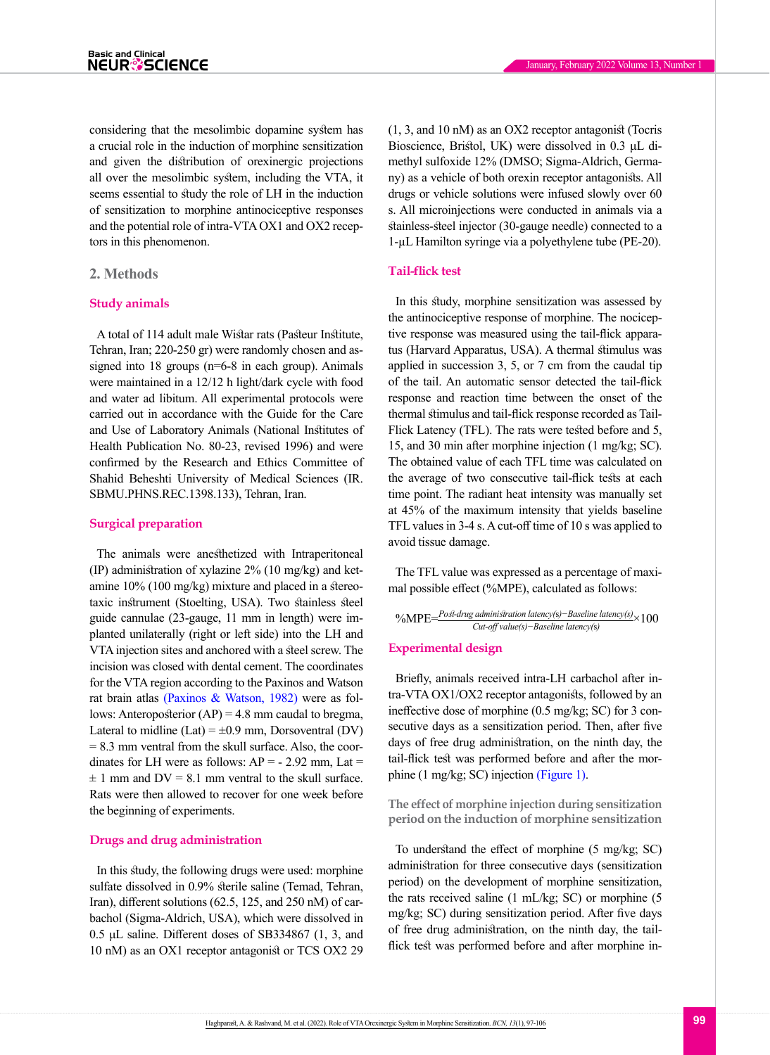considering that the mesolimbic dopamine system has a crucial role in the induction of morphine sensitization and given the distribution of orexinergic projections all over the mesolimbic system, including the VTA, it seems essential to study the role of LH in the induction of sensitization to morphine antinociceptive responses and the potential role of intra-VTA OX1 and OX2 receptors in this phenomenon.

#### **2. Methods**

#### **Study animals**

A total of 114 adult male Wistar rats (Pasteur Institute, Tehran, Iran; 220-250 gr) were randomly chosen and assigned into 18 groups (n=6-8 in each group). Animals were maintained in a 12/12 h light/dark cycle with food and water ad libitum. All experimental protocols were carried out in accordance with the Guide for the Care and Use of Laboratory Animals (National Institutes of Health Publication No. 80-23, revised 1996) and were confirmed by the Research and Ethics Committee of Shahid Beheshti University of Medical Sciences (IR. SBMU.PHNS.REC.1398.133), Tehran, Iran.

#### **Surgical preparation**

The animals were anesthetized with Intraperitoneal (IP) administration of xylazine 2% (10 mg/kg) and ketamine 10% (100 mg/kg) mixture and placed in a stereotaxic instrument (Stoelting, USA). Two stainless steel guide cannulae (23-gauge, 11 mm in length) were implanted unilaterally (right or left side) into the LH and VTA injection sites and anchored with a steel screw. The incision was closed with dental cement. The coordinates for the VTA region according to the Paxinos and Watson rat brain atlas [\(Paxinos & Watson, 1982\)](#page-9-11) were as follows: Anteroposterior  $(AP) = 4.8$  mm caudal to bregma, Lateral to midline (Lat) =  $\pm 0.9$  mm, Dorsoventral (DV)  $= 8.3$  mm ventral from the skull surface. Also, the coordinates for LH were as follows:  $AP = -2.92$  mm, Lat =  $\pm$  1 mm and DV = 8.1 mm ventral to the skull surface. Rats were then allowed to recover for one week before the beginning of experiments.

#### **Drugs and drug administration**

In this study, the following drugs were used: morphine sulfate dissolved in 0.9% sterile saline (Temad, Tehran, Iran), different solutions (62.5, 125, and 250 nM) of carbachol (Sigma-Aldrich, USA), which were dissolved in 0.5 μL saline. Different doses of SB334867 (1, 3, and 10 nM) as an OX1 receptor antagonist or TCS OX2 29 (1, 3, and 10 nM) as an OX2 receptor antagonist (Tocris Bioscience, Bristol, UK) were dissolved in 0.3 μL dimethyl sulfoxide 12% (DMSO; Sigma-Aldrich, Germany) as a vehicle of both orexin receptor antagonists. All drugs or vehicle solutions were infused slowly over 60 s. All microinjections were conducted in animals via a stainless-steel injector (30-gauge needle) connected to a 1-µL Hamilton syringe via a polyethylene tube (PE-20).

#### **Tail-flick test**

In this study, morphine sensitization was assessed by the antinociceptive response of morphine. The nociceptive response was measured using the tail-flick apparatus (Harvard Apparatus, USA). A thermal stimulus was applied in succession 3, 5, or 7 cm from the caudal tip of the tail. An automatic sensor detected the tail-flick response and reaction time between the onset of the thermal stimulus and tail-flick response recorded as Tail-Flick Latency (TFL). The rats were tested before and 5, 15, and 30 min after morphine injection (1 mg/kg; SC). The obtained value of each TFL time was calculated on the average of two consecutive tail-flick tests at each time point. The radiant heat intensity was manually set at 45% of the maximum intensity that yields baseline TFL values in 3-4 s. A cut-off time of 10 s was applied to avoid tissue damage.

The TFL value was expressed as a percentage of maximal possible effect (%MPE), calculated as follows:

$$
^o\hspace{-6pt}/\textrm{MPE}\hspace{-1pt}=\hspace{-1pt}\frac{Pos1\hspace{-1pt}\textrm{-}drug\hspace{-1pt}\textrm{admin} \textrm{ifration\hspace{-1pt}latency(s)\hspace{-1pt}-Baseline\hspace{-1pt}latency(s)\hspace{-1pt}}{Cut\hspace{-1pt}\textrm{-}off\hspace{-1pt}value(s)\hspace{-1pt}-Baseline\hspace{-1pt}latency(s)}\times 100
$$

#### **Experimental design**

Briefly, animals received intra-LH carbachol after intra-VTA OX1/OX2 receptor antagonists, followed by an ineffective dose of morphine (0.5 mg/kg; SC) for 3 consecutive days as a sensitization period. Then, after five days of free drug administration, on the ninth day, the tail-flick test was performed before and after the morphine (1 mg/kg; SC) injection [\(Figure 1\).](#page-3-0)

**The effect of morphine injection during sensitization period on the induction of morphine sensitization** 

To understand the effect of morphine (5 mg/kg; SC) administration for three consecutive days (sensitization period) on the development of morphine sensitization, the rats received saline (1 mL/kg; SC) or morphine (5 mg/kg; SC) during sensitization period. After five days of free drug administration, on the ninth day, the tailflick test was performed before and after morphine in-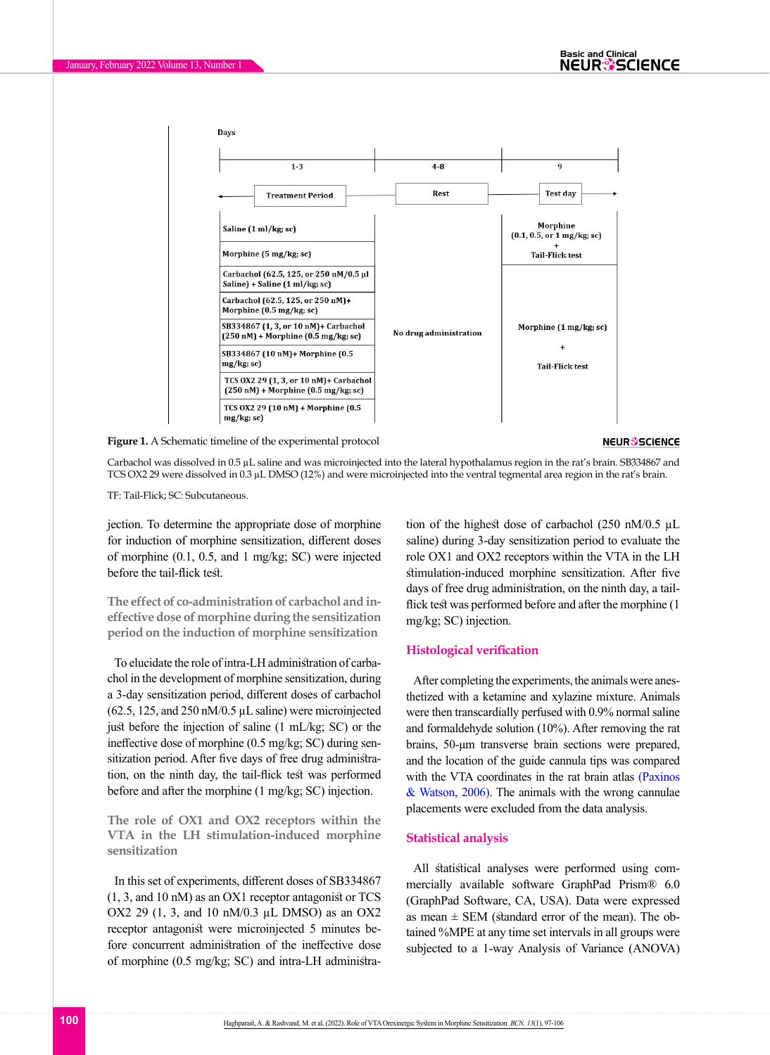

<span id="page-3-0"></span>**Figure 1.** A Schematic timeline of the experimental protocol **Figure (2)**

**NEUR<sup>®</sup>SCIENCE** 

Carbachol was dissolved in 0.5 µL saline and was microinjected into the lateral hypothalamus region in the rat's brain. SB334867 and TCS OX2 29 were dissolved in 0.3 µL DMSO (12%) and were microinjected into the ventral tegmental area region in the rat's brain.

TF: Tail-Flick; SC: Subcutaneous.

jection. To determine the appropriate dose of morphine for induction of morphine sensitization, different doses of morphine (0.1, 0.5, and 1 mg/kg; SC) were injected before the tail-flick test.

**The effect of co-administration of carbachol and ineffective dose of morphine during the sensitization period on the induction of morphine sensitization** 

To elucidate the role of intra-LH administration of carbachol in the development of morphine sensitization, during a 3-day sensitization period, different doses of carbachol  $(62.5, 125, and 250 \text{ nM}/0.5 \mu L \text{ saline})$  were microinjected just before the injection of saline (1 mL/kg; SC) or the ineffective dose of morphine (0.5 mg/kg; SC) during sensitization period. After five days of free drug administration, on the ninth day, the tail-flick test was performed before and after the morphine (1 mg/kg; SC) injection.

**The role of OX1 and OX2 receptors within the VTA in the LH stimulation-induced morphine sensitization** 

In this set of experiments, different doses of SB334867 (1, 3, and 10 nM) as an OX1 receptor antagonist or TCS OX2 29 (1, 3, and 10 nM/0.3 µL DMSO) as an OX2 receptor antagonist were microinjected 5 minutes before concurrent administration of the ineffective dose of morphine (0.5 mg/kg; SC) and intra-LH administration of the highest dose of carbachol (250 nM/0.5 µL saline) during 3-day sensitization period to evaluate the role OX1 and OX2 receptors within the VTA in the LH stimulation-induced morphine sensitization. After five days of free drug administration, on the ninth day, a tailflick test was performed before and after the morphine (1 mg/kg; SC) injection.

#### **Histological verification**

After completing the experiments, the animals were anesthetized with a ketamine and xylazine mixture. Animals were then transcardially perfused with 0.9% normal saline and formaldehyde solution (10%). After removing the rat brains, 50-μm transverse brain sections were prepared, and the location of the guide cannula tips was compared with the VTA coordinates in the rat brain atlas (Paxinos [& Watson, 2006\)](#page-9-11). The animals with the wrong cannulae placements were excluded from the data analysis.

#### **Statistical analysis**

All statistical analyses were performed using commercially available software GraphPad Prism® 6.0 (GraphPad Software, CA, USA). Data were expressed as mean  $\pm$  SEM (standard error of the mean). The obtained %MPE at any time set intervals in all groups were subjected to a 1-way Analysis of Variance (ANOVA)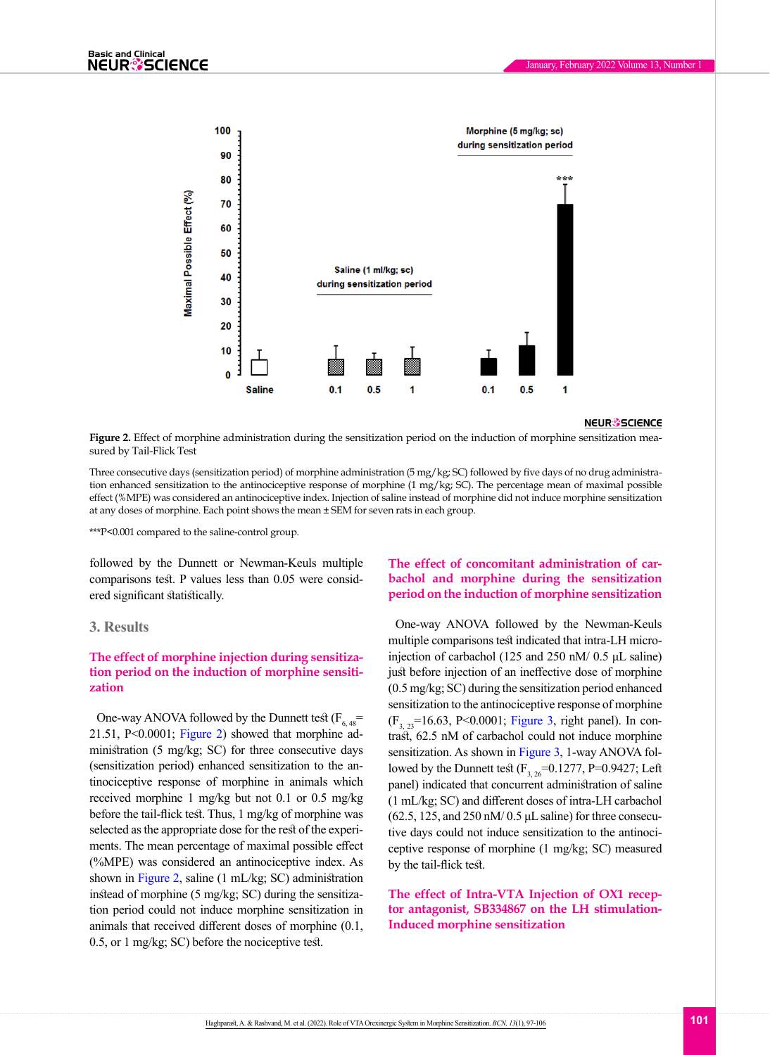

#### **NEUR<sup>8</sup>SCIENCE**

<span id="page-4-0"></span>**Figure 2.** Effect of morphine administration during the sensitization period on the induction of morphine sensitization measured by Tail-Flick Test

Three consecutive days (sensitization period) of morphine administration (5 mg/kg; SC) followed by five days of no drug administration enhanced sensitization to the antinociceptive response of morphine (1 mg/kg; SC). The percentage mean of maximal possible effect (%MPE) was considered an antinociceptive index. Injection of saline instead of morphine did not induce morphine sensitization at any doses of morphine. Each point shows the mean ± SEM for seven rats in each group.

\*\*\*P<0.001 compared to the saline-control group.

followed by the Dunnett or Newman-Keuls multiple comparisons test. P values less than 0.05 were considered significant statistically.

#### **3. Results**

### **The effect of morphine injection during sensitization period on the induction of morphine sensitization**

One-way ANOVA followed by the Dunnett test  $(F_{6,48}$ = 21.51,  $P<0.0001$ ; [Figure 2](#page-4-0)) showed that morphine administration (5 mg/kg; SC) for three consecutive days (sensitization period) enhanced sensitization to the antinociceptive response of morphine in animals which received morphine 1 mg/kg but not 0.1 or 0.5 mg/kg before the tail-flick test. Thus, 1 mg/kg of morphine was selected as the appropriate dose for the rest of the experiments. The mean percentage of maximal possible effect (%MPE) was considered an antinociceptive index. As shown in [Figure 2](#page-4-0), saline (1 mL/kg; SC) administration instead of morphine (5 mg/kg; SC) during the sensitization period could not induce morphine sensitization in animals that received different doses of morphine (0.1, 0.5, or 1 mg/kg; SC) before the nociceptive test.

## **The effect of concomitant administration of carbachol and morphine during the sensitization period on the induction of morphine sensitization**

One-way ANOVA followed by the Newman-Keuls multiple comparisons test indicated that intra-LH microinjection of carbachol (125 and 250 nM/ 0.5 μL saline) just before injection of an ineffective dose of morphine (0.5 mg/kg; SC) during the sensitization period enhanced sensitization to the antinociceptive response of morphine  $(F_3, _2=16.63, P<0.0001;$  [Figure 3](#page-5-0), right panel). In contrast, 62.5 nM of carbachol could not induce morphine sensitization. As shown in [Figure 3](#page-5-0), 1-way ANOVA followed by the Dunnett test  $(F_{3, 26}=0.1277, P=0.9427;$  Left panel) indicated that concurrent administration of saline (1 mL/kg; SC) and different doses of intra-LH carbachol  $(62.5, 125, and 250 \text{ nM}/0.5 \mu L \text{ saline})$  for three consecutive days could not induce sensitization to the antinociceptive response of morphine (1 mg/kg; SC) measured by the tail-flick test.

**The effect of Intra-VTA Injection of OX1 receptor antagonist, SB334867 on the LH stimulation-Induced morphine sensitization**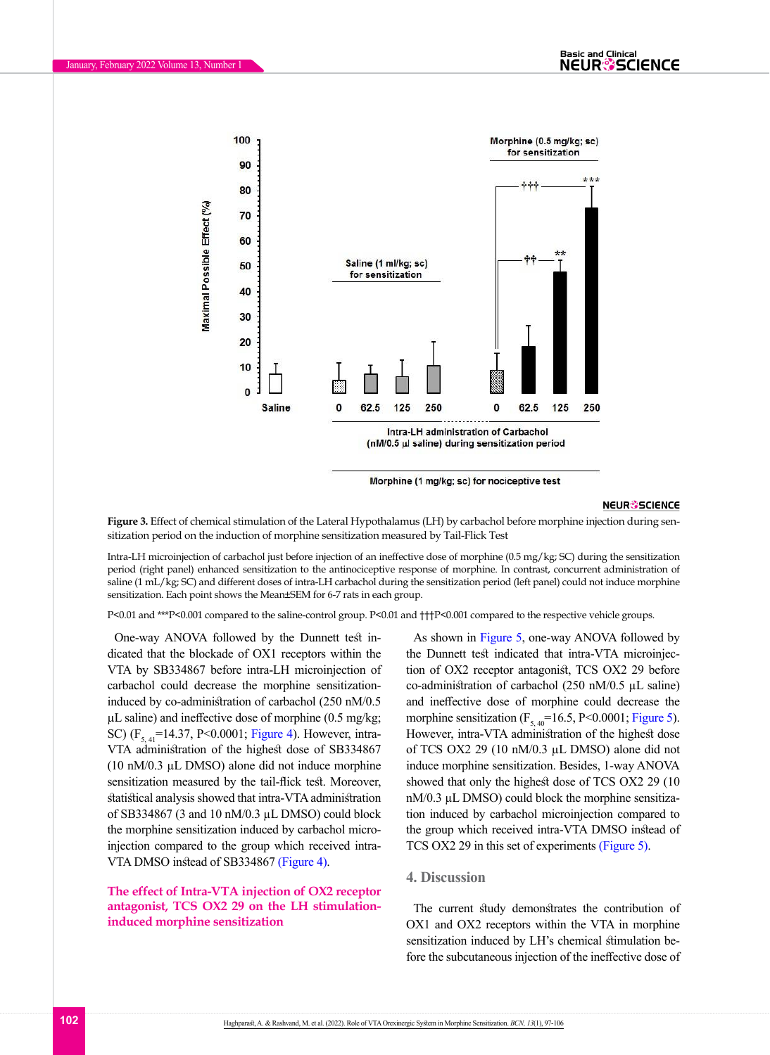

Morphine (1 mg/kg; sc) for nociceptive test

#### **NEUR<sup>®</sup>SCIENCE**

<span id="page-5-0"></span>**Figure 3.** Effect of chemical stimulation of the Lateral Hypothalamus (LH) by carbachol before morphine injection during sensitization period on the induction of morphine sensitization measured by Tail-Flick Test

Intra-LH microinjection of carbachol just before injection of an ineffective dose of morphine (0.5 mg/kg; SC) during the sensitization period (right panel) enhanced sensitization to the antinociceptive response of morphine. In contrast, concurrent administration of saline (1 mL/kg; SC) and different doses of intra-LH carbachol during the sensitization period (left panel) could not induce morphine sensitization. Each point shows the Mean±SEM for 6-7 rats in each group.

P<0.01 and \*\*\*P<0.001 compared to the saline-control group. P<0.01 and †††P<0.001 compared to the respective vehicle groups.

One-way ANOVA followed by the Dunnett test indicated that the blockade of OX1 receptors within the VTA by SB334867 before intra-LH microinjection of carbachol could decrease the morphine sensitizationinduced by co-administration of carbachol (250 nM/0.5  $\mu$ L saline) and ineffective dose of morphine (0.5 mg/kg; SC) ( $F_{5, 41}$ =14.37, P<0.0001; [Figure 4](#page-6-0)). However, intra-VTA administration of the highest dose of SB334867 (10 nM/0.3 µL DMSO) alone did not induce morphine sensitization measured by the tail-flick test. Moreover, statistical analysis showed that intra-VTA administration of SB334867 (3 and 10 nM/0.3 µL DMSO) could block the morphine sensitization induced by carbachol microinjection compared to the group which received intra-VTA DMSO instead of SB334867 [\(Figure 4\).](#page-6-0)

#### **The effect of Intra-VTA injection of OX2 receptor antagonist, TCS OX2 29 on the LH stimulationinduced morphine sensitization**

As shown in [Figure 5](#page-7-0), one-way ANOVA followed by the Dunnett test indicated that intra-VTA microinjection of OX2 receptor antagonist, TCS OX2 29 before co-administration of carbachol (250 nM/0.5 µL saline) and ineffective dose of morphine could decrease the morphine sensitization  $(F_{5,40} = 16.5, P < 0.0001;$  [Figure 5](#page-7-0)). However, intra-VTA administration of the highest dose of TCS OX2 29 (10 nM/0.3 µL DMSO) alone did not induce morphine sensitization. Besides, 1-way ANOVA showed that only the highest dose of TCS OX2 29 (10 nM/0.3  $\mu$ L DMSO) could block the morphine sensitization induced by carbachol microinjection compared to the group which received intra-VTA DMSO instead of TCS OX2 29 in this set of experiments [\(Figure 5\)](#page-7-0).

#### **4. Discussion**

The current study demonstrates the contribution of OX1 and OX2 receptors within the VTA in morphine sensitization induced by LH's chemical stimulation before the subcutaneous injection of the ineffective dose of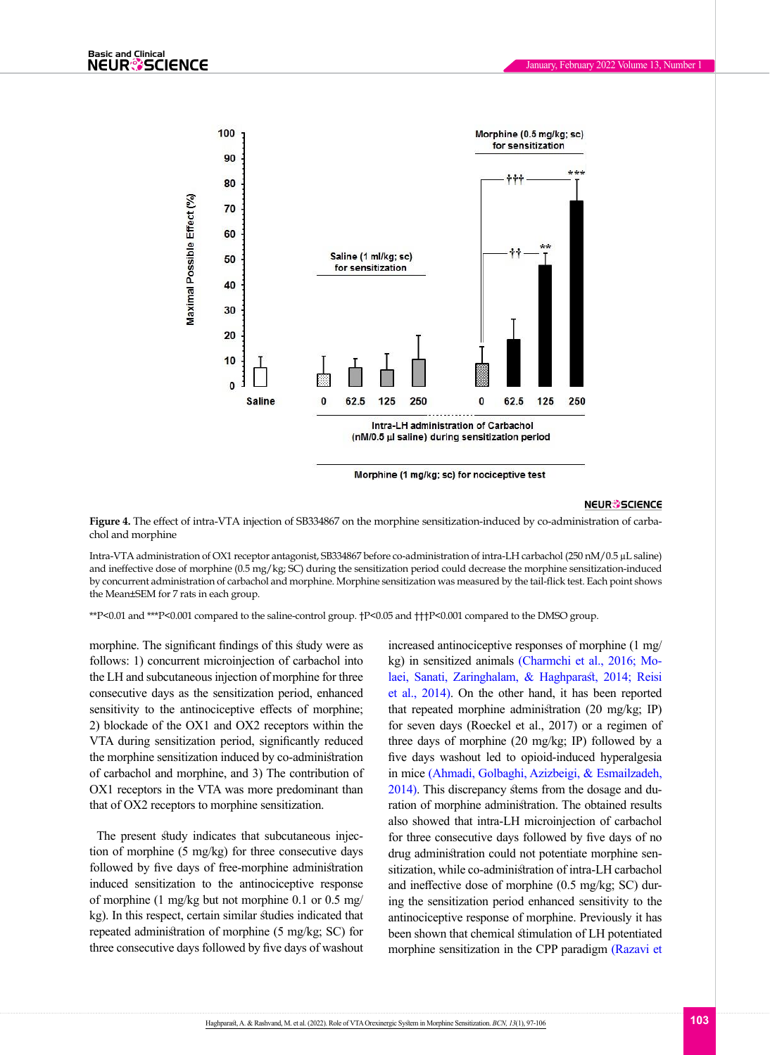

Morphine (1 mg/kg; sc) for nociceptive test

#### **NEUR<sup>®</sup>SCIENCE**

<span id="page-6-0"></span>**Figure 4.** The effect of intra-VTA injection of SB334867 on the morphine sensitization-induced by co-administration of carbachol and morphine

Intra-VTA administration of OX1 receptor antagonist, SB334867 before co-administration of intra-LH carbachol (250 nM/0.5 µL saline) and ineffective dose of morphine (0.5 mg/kg; SC) during the sensitization period could decrease the morphine sensitization-induced by concurrent administration of carbachol and morphine. Morphine sensitization was measured by the tail-flick test. Each point shows the Mean±SEM for 7 rats in each group.

\*\*P<0.01 and \*\*\*P<0.001 compared to the saline-control group. †P<0.05 and †††P<0.001 compared to the DMSO group.

morphine. The significant findings of this study were as follows: 1) concurrent microinjection of carbachol into the LH and subcutaneous injection of morphine for three consecutive days as the sensitization period, enhanced sensitivity to the antinociceptive effects of morphine; 2) blockade of the OX1 and OX2 receptors within the VTA during sensitization period, significantly reduced the morphine sensitization induced by co-administration of carbachol and morphine, and 3) The contribution of OX1 receptors in the VTA was more predominant than that of OX2 receptors to morphine sensitization.

The present study indicates that subcutaneous injection of morphine (5 mg/kg) for three consecutive days followed by five days of free-morphine administration induced sensitization to the antinociceptive response of morphine (1 mg/kg but not morphine 0.1 or 0.5 mg/ kg). In this respect, certain similar studies indicated that repeated administration of morphine (5 mg/kg; SC) for three consecutive days followed by five days of washout

increased antinociceptive responses of morphine (1 mg/ kg) in sensitized animals [\(Charmchi et al., 2016;](#page-8-0) Molaei, Sanati, Zaringhalam, & Haghpara[st, 2014;](#page-9-12) [Reisi](#page-9-1) [et al., 2014\).](#page-9-1) On the other hand, it has been reported that repeated morphine administration (20 mg/kg; IP) for seven days (Roeckel et al., 2017) or a regimen of three days of morphine (20 mg/kg; IP) followed by a five days washout led to opioid-induced hyperalgesia in mice [\(Ahmadi, Golbaghi, Azizbeigi, & Esmailzadeh,](#page-8-4) [2014\)](#page-8-4). This discrepancy stems from the dosage and duration of morphine administration. The obtained results also showed that intra-LH microinjection of carbachol for three consecutive days followed by five days of no drug administration could not potentiate morphine sensitization, while co-administration of intra-LH carbachol and ineffective dose of morphine (0.5 mg/kg; SC) during the sensitization period enhanced sensitivity to the antinociceptive response of morphine. Previously it has been shown that chemical stimulation of LH potentiated morphine sensitization in the CPP paradigm [\(Razavi et](#page-9-6)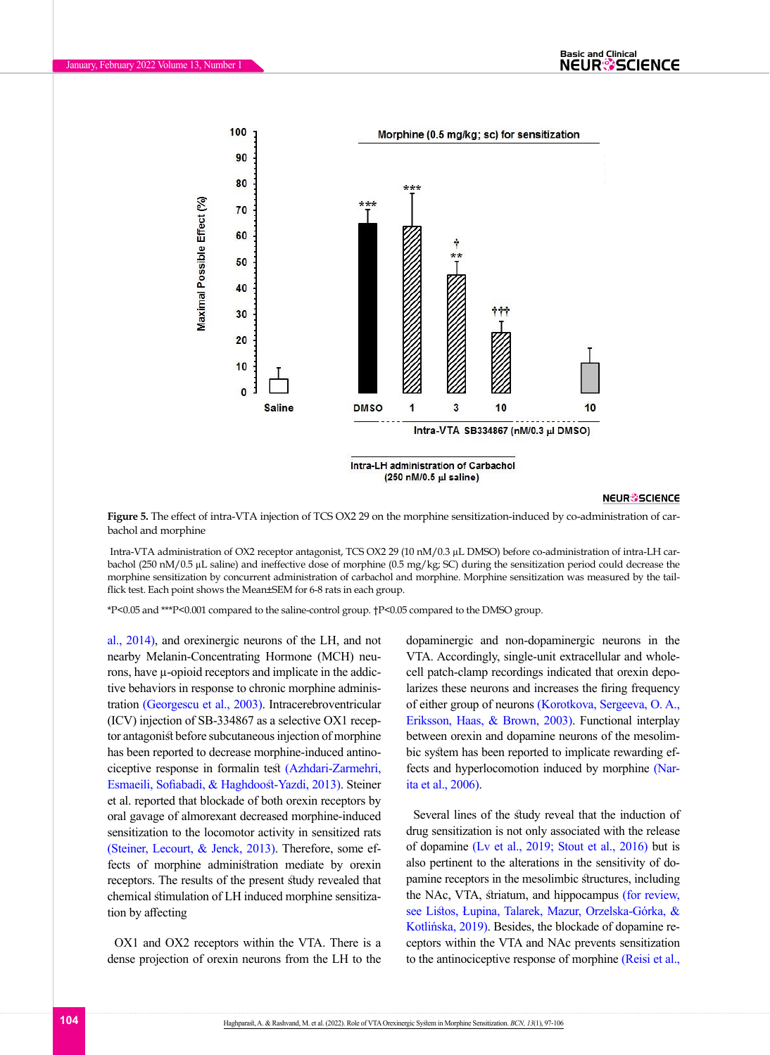



#### **NEUR<sup>®</sup>SCIENCE**

<span id="page-7-0"></span>**Figure 5.** The effect of intra-VTA injection of TCS OX2 29 on the morphine sensitization-induced by co-administration of carbachol and morphine

 Intra-VTA administration of OX2 receptor antagonist, TCS OX2 29 (10 nM/0.3 µL DMSO) before co-administration of intra-LH carbachol (250 nM/0.5 µL saline) and ineffective dose of morphine (0.5 mg/kg; SC) during the sensitization period could decrease the morphine sensitization by concurrent administration of carbachol and morphine. Morphine sensitization was measured by the tailflick test. Each point shows the Mean±SEM for 6-8 rats in each group.

\*P<0.05 and \*\*\*P<0.001 compared to the saline-control group. †P<0.05 compared to the DMSO group.

[al., 2014\),](#page-9-6) and orexinergic neurons of the LH, and not nearby Melanin-Concentrating Hormone (MCH) neurons, have µ-opioid receptors and implicate in the addictive behaviors in response to chronic morphine administration [\(Georgescu et al., 2003\).](#page-8-5) Intracerebroventricular (ICV) injection of SB-334867 as a selective OX1 receptor antagonist before subcutaneous injection of morphine has been reported to decrease morphine-induced antinociceptive response in formalin test [\(Azhdari-Zarmehri,](#page-8-6)  [Esmaeili, Sofiabadi, & Haghdoost-Yazdi, 2013\).](#page-8-6) Steiner et al. reported that blockade of both orexin receptors by oral gavage of almorexant decreased morphine-induced sensitization to the locomotor activity in sensitized rats [\(Steiner, Lecourt, & Jenck, 2013\).](#page-9-13) Therefore, some effects of morphine administration mediate by orexin receptors. The results of the present study revealed that chemical stimulation of LH induced morphine sensitization by affecting

OX1 and OX2 receptors within the VTA. There is a dense projection of orexin neurons from the LH to the dopaminergic and non-dopaminergic neurons in the VTA. Accordingly, single-unit extracellular and wholecell patch-clamp recordings indicated that orexin depolarizes these neurons and increases the firing frequency of either group of neurons [\(Korotkova, Sergeeva, O. A.,](#page-8-7)  [Eriksson, Haas, & Brown, 2003\)](#page-8-7). Functional interplay between orexin and dopamine neurons of the mesolimbic system has been reported to implicate rewarding effects and hyperlocomotion induced by morphine [\(Nar](#page-9-14)[ita et al., 2006\)](#page-9-14).

Several lines of the study reveal that the induction of drug sensitization is not only associated with the release of dopamine [\(Lv et al., 2019;](#page-9-0) [Stout et al., 2016\)](#page-9-15) but is also pertinent to the alterations in the sensitivity of dopamine receptors in the mesolimbic structures, including the NAc, VTA, striatum, and hippocampus (for review, see Listos, Łupina, Talarek, Mazur, Orzelska-Górka, & Kotlińska, 2019). Besides, the blockade of dopamine receptors within the VTA and NAc prevents sensitization to the antinociceptive response of morphine [\(Reisi et al.,](#page-9-1)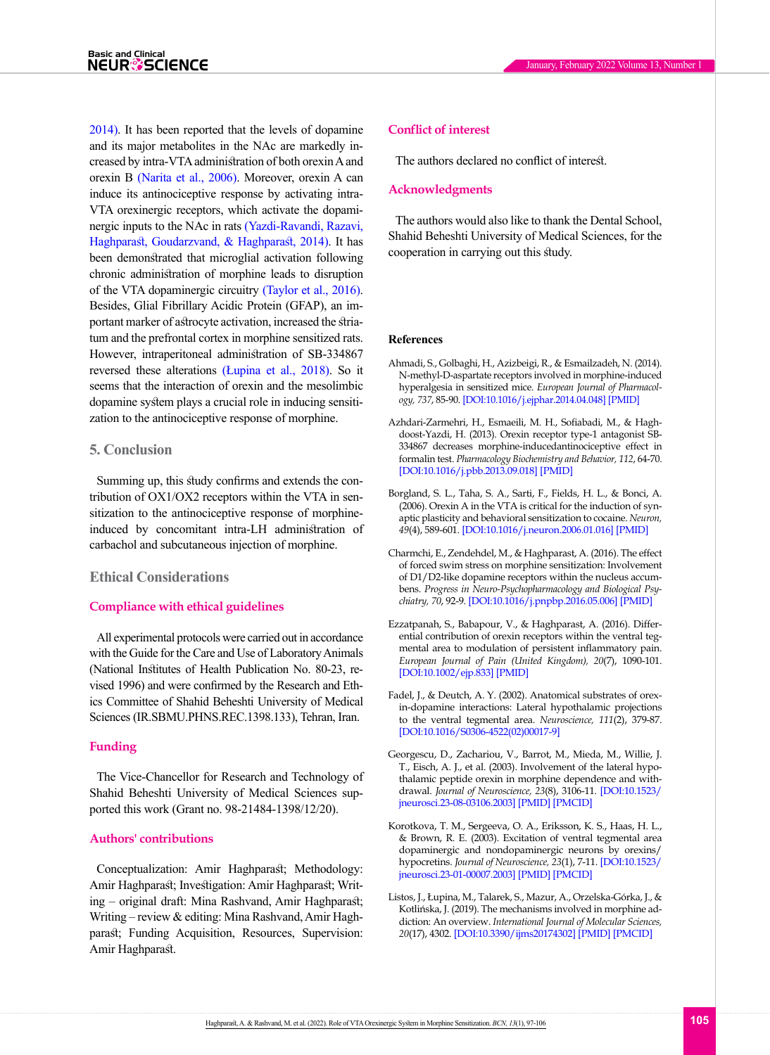[2014\)](#page-9-1). It has been reported that the levels of dopamine and its major metabolites in the NAc are markedly increased by intra-VTA administration of both orexin A and orexin B [\(Narita et al., 2006\)](#page-9-14). Moreover, orexin A can induce its antinociceptive response by activating intra-VTA orexinergic receptors, which activate the dopaminergic inputs to the NAc in rats [\(Yazdi-Ravandi, Razavi,](#page-9-16)  [Haghparast, Goudarzvand, & Haghparast, 2014\)](#page-9-16). It has been demonstrated that microglial activation following chronic administration of morphine leads to disruption of the VTA dopaminergic circuitry [\(Taylor et al., 2016\)](#page-9-17). Besides, Glial Fibrillary Acidic Protein (GFAP), an important marker of astrocyte activation, increased the striatum and the prefrontal cortex in morphine sensitized rats. However, intraperitoneal administration of SB-334867 reversed these alterations [\(Łupina et al., 2018\).](#page-9-5) So it seems that the interaction of orexin and the mesolimbic dopamine system plays a crucial role in inducing sensitization to the antinociceptive response of morphine.

## **5. Conclusion**

Summing up, this study confirms and extends the contribution of OX1/OX2 receptors within the VTA in sensitization to the antinociceptive response of morphineinduced by concomitant intra-LH administration of carbachol and subcutaneous injection of morphine.

#### **Ethical Considerations**

#### **Compliance with ethical guidelines**

All experimental protocols were carried out in accordance with the Guide for the Care and Use of Laboratory Animals (National Institutes of Health Publication No. 80-23, revised 1996) and were confirmed by the Research and Ethics Committee of Shahid Beheshti University of Medical Sciences (IR.SBMU.PHNS.REC.1398.133), Tehran, Iran.

#### **Funding**

The Vice-Chancellor for Research and Technology of Shahid Beheshti University of Medical Sciences supported this work (Grant no. 98-21484-1398/12/20).

#### **Authors' contributions**

Conceptualization: Amir Haghparast; Methodology: Amir Haghparast; Investigation: Amir Haghparast; Writing – original draft: Mina Rashvand, Amir Haghparast; Writing – review & editing: Mina Rashvand, Amir Haghparast; Funding Acquisition, Resources, Supervision: Amir Haghparast.

#### **Conflict of interest**

The authors declared no conflict of interest.

#### **Acknowledgments**

The authors would also like to thank the Dental School, Shahid Beheshti University of Medical Sciences, for the cooperation in carrying out this study.

#### **References**

- <span id="page-8-4"></span>Ahmadi, S., Golbaghi, H., Azizbeigi, R., & Esmailzadeh, N. (2014). N-methyl-D-aspartate receptors involved in morphine-induced hyperalgesia in sensitized mice. *European Journal of Pharmacology, 737*, 85-90. [[DOI:10.1016/j.ejphar.2014.04.048](https://doi.org/10.1016/j.ejphar.2014.04.048)] [\[PMID](https://www.ncbi.nlm.nih.gov/pubmed/24842190)]
- <span id="page-8-6"></span>Azhdari-Zarmehri, H., Esmaeili, M. H., Sofiabadi, M., & Haghdoost-Yazdi, H. (2013). Orexin receptor type-1 antagonist SB-334867 decreases morphine-inducedantinociceptive effect in formalin test. *Pharmacology Biochemistry and Behavior, 112*, 64-70. [[DOI:10.1016/j.pbb.2013.09.018](https://doi.org/10.1016/j.pbb.2013.09.018)] [\[PMID](https://www.ncbi.nlm.nih.gov/pubmed/24125787)]
- <span id="page-8-2"></span>Borgland, S. L., Taha, S. A., Sarti, F., Fields, H. L., & Bonci, A. (2006). Orexin A in the VTA is critical for the induction of synaptic plasticity and behavioral sensitization to cocaine. *Neuron, 49*(4), 589-601. [\[DOI:10.1016/j.neuron.2006.01.016](https://doi.org/10.1016/j.neuron.2006.01.016)] [\[PMID](https://www.ncbi.nlm.nih.gov/pubmed/16476667)]
- <span id="page-8-0"></span>Charmchi, E., Zendehdel, M., & Haghparast, A. (2016). The effect of forced swim stress on morphine sensitization: Involvement of D1/D2-like dopamine receptors within the nucleus accumbens. *Progress in Neuro-Psychopharmacology and Biological Psychiatry, 70*, 92-9. [\[DOI:10.1016/j.pnpbp.2016.05.006\]](https://doi.org/10.1016/j.pnpbp.2016.05.006) [[PMID](https://www.ncbi.nlm.nih.gov/pubmed/27235796)]
- <span id="page-8-3"></span>Ezzatpanah, S., Babapour, V., & Haghparast, A. (2016). Differential contribution of orexin receptors within the ventral tegmental area to modulation of persistent inflammatory pain. *European Journal of Pain (United Kingdom), 20*(7), 1090-101. [[DOI:10.1002/ejp.833\]](https://doi.org/10.1002/ejp.833) [\[PMID](https://www.ncbi.nlm.nih.gov/pubmed/26871274)]
- <span id="page-8-1"></span>Fadel, J., & Deutch, A. Y. (2002). Anatomical substrates of orexin-dopamine interactions: Lateral hypothalamic projections to the ventral tegmental area. *Neuroscience, 111*(2), 379-87. [[DOI:10.1016/S0306-4522\(02\)00017-9\]](https://doi.org/10.1016/S0306-4522(02)00017-9)
- <span id="page-8-5"></span>Georgescu, D., Zachariou, V., Barrot, M., Mieda, M., Willie, J. T., Eisch, A. J., et al. (2003). Involvement of the lateral hypothalamic peptide orexin in morphine dependence and withdrawal. *Journal of Neuroscience, 23*(8), 3106-11. [\[DOI:10.1523/](https://doi.org/10.1523/jneurosci.23-08-03106.2003) [jneurosci.23-08-03106.2003\]](https://doi.org/10.1523/jneurosci.23-08-03106.2003) [[PMID](https://www.ncbi.nlm.nih.gov/pubmed/12716916)] [\[PMCID\]](http://www.ncbi.nlm.nih.gov/pmc/articles/PMC6742290)
- <span id="page-8-7"></span>Korotkova, T. M., Sergeeva, O. A., Eriksson, K. S., Haas, H. L., & Brown, R. E. (2003). Excitation of ventral tegmental area dopaminergic and nondopaminergic neurons by orexins/ hypocretins. *Journal of Neuroscience, 23*(1), 7-11. [\[DOI:10.1523/](https://doi.org/10.1523/jneurosci.23-01-00007.2003) [jneurosci.23-01-00007.2003\]](https://doi.org/10.1523/jneurosci.23-01-00007.2003) [[PMID](https://www.ncbi.nlm.nih.gov/pubmed/12514194)] [\[PMCID\]](http://www.ncbi.nlm.nih.gov/pmc/articles/PMC6742159)
- Listos, J., Łupina, M., Talarek, S., Mazur, A., Orzelska-Górka, J., & Kotlińska, J. (2019). The mechanisms involved in morphine addiction: An overview. *International Journal of Molecular Sciences, 20*(17), 4302. [\[DOI:10.3390/ijms20174302](https://doi.org/10.3390/ijms20174302)] [\[PMID](https://www.ncbi.nlm.nih.gov/pubmed/31484312)] [\[PMCID](http://www.ncbi.nlm.nih.gov/pmc/articles/PMC6747116)]